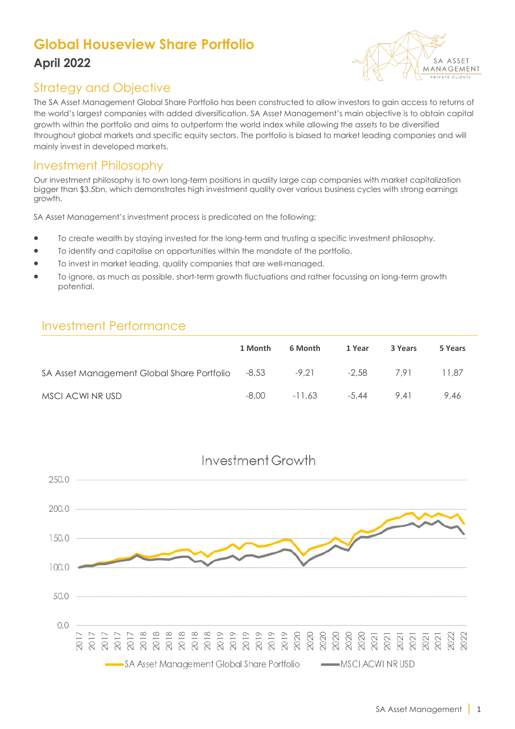# **Global Houseview Share Portfolio April 2022**



### Strategy and Objective

The SA Asset Management Global Share Portfolio has been constructed to allow investors to gain access to returns of the world's largest companies with added diversification. SA Asset Management's main objective is to obtain capital growth within the portfolio and aims to outperform the world index while allowing the assets to be diversified throughout global markets and specific equity sectors. The portfolio is biased to market leading companies and will mainly invest in developed markets.

#### Investment Philosophy

Our investment philosophy is to own long-term positions in quality large cap companies with market capitalization bigger than \$3.5bn, which demonstrates high investment quality over various business cycles with strong earnings growth.

SA Asset Management's investment process is predicated on the following;

- To create wealth by staying invested for the long-term and trusting a specific investment philosophy.
- To identify and capitalise on opportunities within the mandate of the portfolio.
- To invest in market leading, quality companies that are well-managed.
- To ignore, as much as possible, short-term growth fluctuations and rather focussing on long-term growth potential.

#### Investment Performance

|                                                  | 1 Month | 6 Month | 1 Year           | 3 Years | 5 Years |
|--------------------------------------------------|---------|---------|------------------|---------|---------|
| SA Asset Management Global Share Portfolio -8,53 |         | $-9,21$ | -2.58            | 7.91    | 11.87   |
| MSCI ACWI NR USD                                 | -8.00   |         | $-11.63$ $-5.44$ | 9.41    | 9.46    |